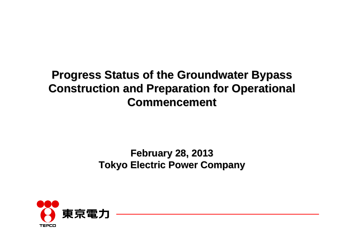## **Progress Status of the Groundwater Bypass Construction and Preparation for Operational Construction and Preparation for Operational Commencement Commencement**

### **February 28, 2013 February 28, 2013 Tokyo Electric Power Company Tokyo Electric Power Company**

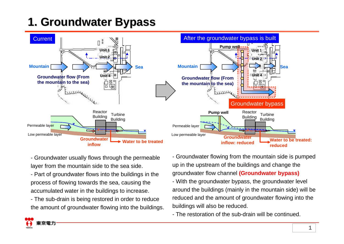# **1. Groundwater Bypass 1. Groundwater Bypass**



- Groundwater usually flows through the permeable layer from the mountain side to the sea side.

- Part of groundwater flows into the buildings in the process of flowing towards the sea, causing the accumulated water in the buildings to increase.

- The sub-drain is being restored in order to reduce the amount of groundwater flowing into the buildings.

- Groundwater flowing from the mountain side is pumped up in the upstream of the buildings and change the groundwater flow channel **(Groundwater bypass)** - With the groundwater bypass, the groundwater level around the buildings (mainly in the mountain side) will be reduced and the amount of groundwater flowing into the buildings will also be reduced.

- The restoration of the sub-drain will be continued.

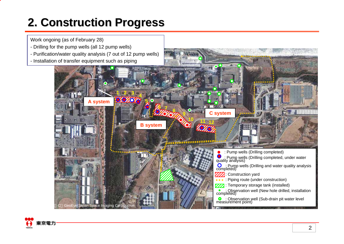## **2. Construction Progress 2. Construction Progress**

Work ongoing (as of February 28)

- Drilling for the pump wells (all 12 pump wells)
- Purification/water quality analysis (7 out of 12 pump wells)
- Installation of transfer equipment such as piping



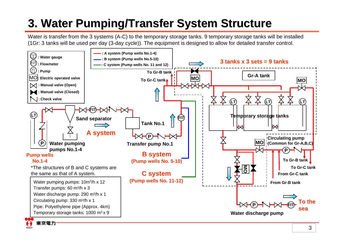# **3. Water Pumping/Transfer System Structure 3. Water Pumping/Transfer System Structure**

Water is transfer from the 3 systems (A-C) to the temporary storage tanks. 9 temporary storage tanks will be installed (1Gr: 3 tanks will be used per day (3-day cycle)). The equipment is designed to allow for detailed transfer control.



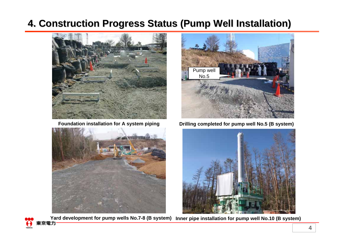### **4. Construction Progress Status (Pump Well Installation) 4. Construction Progress Status (Pump Well Installation)**



**Foundation installation for A system piping**





**Drilling completed for pump well No.5 (B system)**



Yard development for pump wells No.7-8 (B system) Inner pipe installation for pump well No.10 (B system)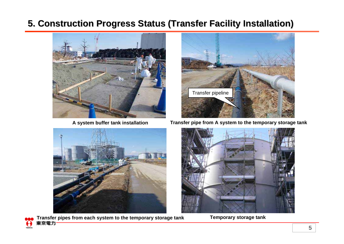### **5. Construction Progress Status (Transfer Facility Installation) 5. Construction Progress Status (Transfer Facility Installation)**



**A system buffer tank installation**



**Transfer pipe from A system to the temporary storage tank**



보



Transfer pipes from each system to the temporary storage tank **Temporary storage tank**<br>東京電力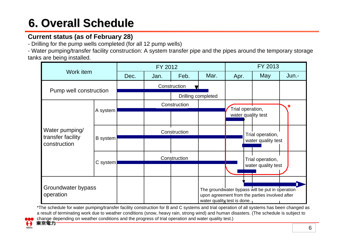# **6. Overall Schedule 6. Overall Schedule**

#### **Current status (as of February 28)**

- Drilling for the pump wells completed (for all 12 pump wells)

- Water pumping/transfer facility construction: A system transfer pipe and the pipes around the temporary storage tanks are being installed.



\*The schedule for water pumping/transfer facility construction for B and C systems and trial operation of all systems has been changed as a result of terminating work due to weather conditions (snow, heavy rain, strong wind) and human disasters. (The schedule is subject to



change depending on weather conditions and the progress of trial operation and water quality test.) 東京電力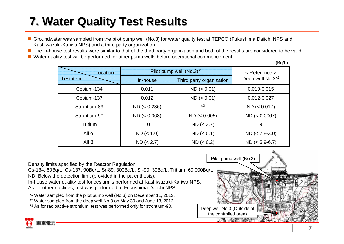# **7. Water Quality Test Results 7. Water Quality Test Results**

- Groundwater was sampled from the pilot pump well (No.3) for water quality test at TEPCO (Fukushima Daiichi NPS and Kashiwazaki-Kariwa NPS) and a third party organization.
- The in-house test results were similar to that of the third party organization and both of the results are considered to be valid.
- Water quality test will be performed for other pump wells before operational commencement.

(Bq/L)

| Location         | Pilot pump well (No.3) <sup>*1</sup> |                          | $<$ Reference $>$            |
|------------------|--------------------------------------|--------------------------|------------------------------|
| <b>Test item</b> | In-house                             | Third party organization | Deep well No.3 <sup>*2</sup> |
| Cesium-134       | 0.011                                | ND (< 0.01)              | 0.010-0.015                  |
| Cesium-137       | 0.012                                | ND (< 0.01)              | 0.012-0.027                  |
| Strontium-89     | ND (< 0.236)                         | $*3$                     | ND (< 0.017)                 |
| Strontium-90     | ND (< 0.068)                         | ND (< 0.005)             | ND (< 0.0067)                |
| Tritium          | 10                                   | ND (< 3.7)               | 9                            |
| All              | ND (< 1.0)                           | ND (< 0.1)               | $ND (< 2.8-3.0)$             |
| All              | ND (< 2.7)                           | ND (< 0.2)               | $ND (< 5.9-6.7)$             |

Density limits specified by the Reactor Regulation:

Cs-134: 60Bq/L, Cs-137: 90Bq/L, Sr-89: 300Bq/L, Sr-90: 30Bq/L, Tritium: 60,000Bq/L ND: Below the detection limit (provided in the parenthesis).

In-house water quality test for cesium is performed at Kashiwazaki-Kariwa NPS. As for other nuclides, test was performed at Fukushima Daiichi NPS.

\*1 Water sampled from the pilot pump well (No.3) on December 11, 2012.

\*2 Water sampled from the deep well No.3 on May 30 and June 13, 2012.

\*<sup>3</sup> As for radioactive strontium, test was performed only for strontium-90. Deep well No.3 (Outside of

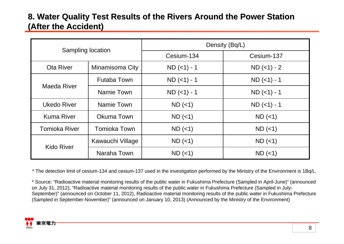### **8. Water Quality Test Results of the Rivers Around the Power Station (After the Accident) (After the Accident)**

| Sampling location    |                  | Density (Bq/L) |               |  |
|----------------------|------------------|----------------|---------------|--|
|                      |                  | Cesium-134     | Cesium-137    |  |
| Ota River            | Minamisoma City  | $ND$ (<1) - 1  | $ND$ (<1) - 2 |  |
| Maeda River          | Futaba Town      | $ND$ (<1) - 1  | $ND$ (<1) - 1 |  |
|                      | Namie Town       | $ND$ (<1) - 1  | $ND$ (<1) - 1 |  |
| <b>Ukedo River</b>   | Namie Town       | $ND$ (<1)      | $ND$ (<1) - 1 |  |
| <b>Kuma River</b>    | Okuma Town       | $ND$ (<1)      | $ND$ (<1)     |  |
| <b>Tomioka River</b> | Tomioka Town     | $ND$ (<1)      | $ND$ (<1)     |  |
| <b>Kido River</b>    | Kawauchi Village | $ND$ (<1)      | $ND$ (<1)     |  |
|                      | Naraha Town      | $ND$ (<1)      | $ND$ (<1)     |  |

\* The detection limit of cesium-134 and cesium-137 used in the investigation performed by the Ministry of the Environment is 1Bq/L.

\* Source: "Radioactive material monitoring results of the public water in Fukushima Prefecture (Sampled in April-June)" (announced on July 31, 2012), "Radioactive material monitoring results of the public water in Fukushima Prefecture (Sampled in July-September)" (announced on October 11, 2012), Radioactive material monitoring results of the public water in Fukushima Prefecture (Sampled in September-November)" (announced on January 10, 2013) (Announced by the Ministry of the Environment)

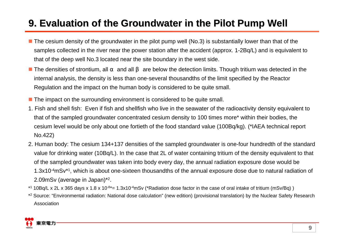### **9. Evaluation of the Groundwater in the Pilot Pump Well . Evaluation of the Groundwater in the Pilot Pump Well**

- The cesium density of the groundwater in the pilot pump well (No.3) is substantially lower than that of the samples collected in the river near the power station after the accident (approx. 1-2Bq/L) and is equivalent to that of the deep well No.3 located near the site boundary in the west side.
- The densities of strontium, all and all are below the detection limits. Though tritium was detected in the internal analysis, the density is less than one-several thousandths of the limit specified by the Reactor Regulation and the impact on the human body is considered to be quite small.
- **The impact on the surrounding environment is considered to be quite small.**
- 1. Fish and shell fish: Even if fish and shellfish who live in the seawater of the radioactivity density equivalent to that of the sampled groundwater concentrated cesium density to 100 times more\* within their bodies, the cesium level would be only about one fortieth of the food standard value (100Bq/kg). (\*IAEA technical report No.422)
- 2. Human body: The cesium 134+137 densities of the sampled groundwater is one-four hundredth of the standard value for drinking water (10Bq/L). In the case that 2L of water containing tritium of the density equivalent to that of the sampled groundwater was taken into body every day, the annual radiation exposure dose would be 1.3x10-4mSv\*1, which is about one-sixteen thousandths of the annual exposure dose due to natural radiation of 2.09mSv (average in Japan)\*2.
- $*1$  10Bq/L x 2L x 365 days x 1.8 x 10<sup>-8 $*$ </sup>= 1.3x10<sup>-4</sup>mSv (\*Radiation dose factor in the case of oral intake of tritium (mSv/Bq))
- \*<sup>2</sup> Source: "Environmental radiation: National dose calculation" (new edition) (provisional translation) by the Nuclear Safety Research Association

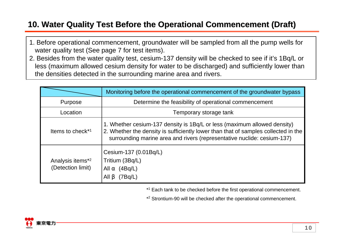### **10. Water Quality Test Before the Operational Commencement (Draft) . Water Quality Test Before the Operational Commencement (Draft)**

- 1. Before operational commencement, groundwater will be sampled from all the pump wells for water quality test (See page 7 for test items).
- 2. Besides from the water quality test, cesium-137 density will be checked to see if it's 1Bq/L or less (maximum allowed cesium density for water to be discharged) and sufficiently lower than the densities detected in the surrounding marine area and rivers.

|                                                   | Monitoring before the operational commencement of the groundwater bypass                                                                                                                                                                  |  |
|---------------------------------------------------|-------------------------------------------------------------------------------------------------------------------------------------------------------------------------------------------------------------------------------------------|--|
| Purpose                                           | Determine the feasibility of operational commencement                                                                                                                                                                                     |  |
| Location                                          | Temporary storage tank                                                                                                                                                                                                                    |  |
| Items to check <sup>*1</sup>                      | 1. Whether cesium-137 density is 1Bq/L or less (maximum allowed density)<br>2. Whether the density is sufficiently lower than that of samples collected in the<br>surrounding marine area and rivers (representative nuclide: cesium-137) |  |
| Analysis items <sup>*2</sup><br>(Detection limit) | Cesium-137 (0.01Bq/L)<br>Tritium (3Bq/L)<br>(4Bq/L)<br>All<br>All<br>(7Bq/L)                                                                                                                                                              |  |

\*<sup>1</sup> Each tank to be checked before the first operational commencement.

\*2 Strontium-90 will be checked after the operational commencement.

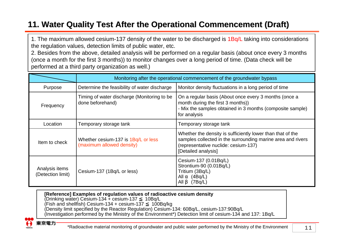### **11. Water Quality Test After the Operational Commencement (Draft) 1. Water Quality Test After the Operational (Draft)**

1. The maximum allowed cesium-137 density of the water to be discharged is 1Bq/L taking into considerations the regulation values, detection limits of public water, etc.

2. Besides from the above, detailed analysis will be performed on a regular basis (about once every 3 months (once a month for the first 3 months)) to monitor changes over a long period of time. (Data check will be performed at a third party organization as well.)

|                                                                   | Monitoring after the operational commencement of the groundwater bypass |                                                                                                                                                                                          |  |
|-------------------------------------------------------------------|-------------------------------------------------------------------------|------------------------------------------------------------------------------------------------------------------------------------------------------------------------------------------|--|
| Purpose                                                           | Determine the feasibility of water discharge                            | Monitor density fluctuations in a long period of time                                                                                                                                    |  |
| Frequency                                                         | Timing of water discharge (Monitoring to be<br>done beforehand)         | On a regular basis (About once every 3 months (once a<br>month during the first 3 months))<br>- Mix the samples obtained in 3 months (composite sample)<br>for analysis                  |  |
| Location                                                          | Temporary storage tank                                                  | Temporary storage tank                                                                                                                                                                   |  |
| Item to check                                                     | Whether cesium-137 is 1Bq/L or less<br>(maximum allowed density)        | Whether the density is sufficiently lower than that of the<br>samples collected in the surrounding marine area and rivers<br>(representative nuclide: cesium-137)<br>[Detailed analysis] |  |
| Analysis items<br>Cesium-137 (1Bq/L or less)<br>(Detection limit) |                                                                         | Cesium-137 (0.01Bq/L)<br>Strontium-90 (0.01Bq/L)<br>Tritium (3Bq/L)<br>(4Bq/L)<br>All<br>All<br>(7Bq/L)                                                                                  |  |

**[Reference] Examples of regulation values of radioactive cesium density** (Drinking water) Cesium-134 + cesium-137 10Bq/L  $(Fish and shellfish)$  Cesium-134 + cesium-137 (Density limit specified by the Reactor Regulation) Cesium-134: 60Bq/L, cesium-137:90Bq/L (Investigation performed by the Ministry of the Environment\*) Detection limit of cesium-134 and 137: 1Bq/L



京電力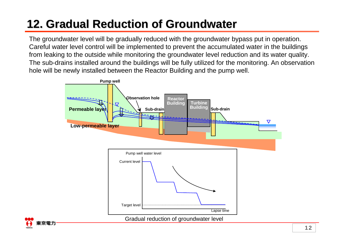## **12. Gradual Reduction of Groundwater . Gradual Reduction of Groundwater**

The groundwater level will be gradually reduced with the groundwater bypass put in operation. Careful water level control will be implemented to prevent the accumulated water in the buildings from leaking to the outside while monitoring the groundwater level reduction and its water quality. The sub-drains installed around the buildings will be fully utilized for the monitoring. An observation hole will be newly installed between the Reactor Building and the pump well.

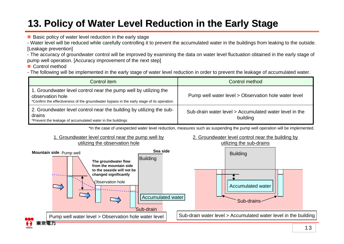## **13. Policy of Water Level Reduction in the Early Stage . Policy of Water Level Reduction in the Early Stage**

**Basic policy of water level reduction in the early stage** 

- Water level will be reduced while carefully controlling it to prevent the accumulated water in the buildings from leaking to the outside. [Leakage prevention]

- The accuracy of groundwater control will be improved by examining the data on water level fluctuation obtained in the early stage of pump well operation. [Accuracy improvement of the next step]

■ Control method

- The following will be implemented in the early stage of water level reduction in order to prevent the leakage of accumulated water.

| Control item                                                                                                                                                                      | Control method                                                     |  |
|-----------------------------------------------------------------------------------------------------------------------------------------------------------------------------------|--------------------------------------------------------------------|--|
| 1. Groundwater level control near the pump well by utilizing the<br>observation hole<br>*Confirm the effectiveness of the groundwater bypass in the early stage of its operation. | Pump well water level > Observation hole water level               |  |
| 2. Groundwater level control near the building by utilizing the sub-<br>drains<br>*Prevent the leakage of accumulated water in the buildings                                      | Sub-drain water level > Accumulated water level in the<br>building |  |

\*In the case of unexpected water level reduction, measures such as suspending the pump well operation will be implemented.

### 1. Groundwater level control near the pump well by

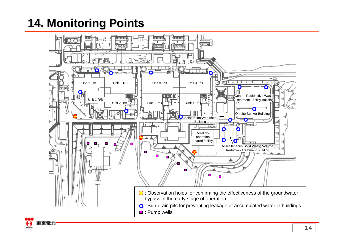**14. Monitoring Points**